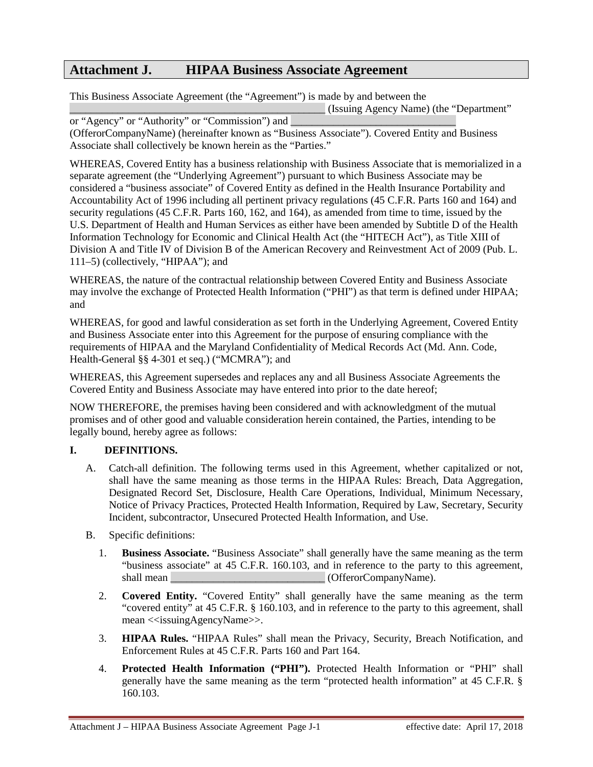# **Attachment J. HIPAA Business Associate Agreement**

This Business Associate Agreement (the "Agreement") is made by and between the

\_\_\_\_\_\_\_\_\_\_\_\_\_\_\_\_\_\_\_\_\_\_\_\_\_\_\_\_\_\_\_\_\_\_\_\_\_\_\_\_\_\_\_\_\_\_\_\_ (Issuing Agency Name) (the "Department"

or "Agency" or "Authority" or "Commission") and (OfferorCompanyName) (hereinafter known as "Business Associate"). Covered Entity and Business Associate shall collectively be known herein as the "Parties."

WHEREAS, Covered Entity has a business relationship with Business Associate that is memorialized in a separate agreement (the "Underlying Agreement") pursuant to which Business Associate may be considered a "business associate" of Covered Entity as defined in the Health Insurance Portability and Accountability Act of 1996 including all pertinent privacy regulations (45 C.F.R. Parts 160 and 164) and security regulations (45 C.F.R. Parts 160, 162, and 164), as amended from time to time, issued by the U.S. Department of Health and Human Services as either have been amended by Subtitle D of the Health Information Technology for Economic and Clinical Health Act (the "HITECH Act"), as Title XIII of Division A and Title IV of Division B of the American Recovery and Reinvestment Act of 2009 (Pub. L. 111–5) (collectively, "HIPAA"); and

WHEREAS, the nature of the contractual relationship between Covered Entity and Business Associate may involve the exchange of Protected Health Information ("PHI") as that term is defined under HIPAA; and

WHEREAS, for good and lawful consideration as set forth in the Underlying Agreement, Covered Entity and Business Associate enter into this Agreement for the purpose of ensuring compliance with the requirements of HIPAA and the Maryland Confidentiality of Medical Records Act (Md. Ann. Code, Health-General §§ 4-301 et seq.) ("MCMRA"); and

WHEREAS, this Agreement supersedes and replaces any and all Business Associate Agreements the Covered Entity and Business Associate may have entered into prior to the date hereof;

NOW THEREFORE, the premises having been considered and with acknowledgment of the mutual promises and of other good and valuable consideration herein contained, the Parties, intending to be legally bound, hereby agree as follows:

## **I. DEFINITIONS.**

- A. Catch-all definition. The following terms used in this Agreement, whether capitalized or not, shall have the same meaning as those terms in the HIPAA Rules: Breach, Data Aggregation, Designated Record Set, Disclosure, Health Care Operations, Individual, Minimum Necessary, Notice of Privacy Practices, Protected Health Information, Required by Law, Secretary, Security Incident, subcontractor, Unsecured Protected Health Information, and Use.
- B. Specific definitions:
	- 1. **Business Associate.** "Business Associate" shall generally have the same meaning as the term "business associate" at 45 C.F.R. 160.103, and in reference to the party to this agreement, shall mean  $(Offeror CompanyName)$ .
	- 2. **Covered Entity.** "Covered Entity" shall generally have the same meaning as the term "covered entity" at 45 C.F.R. § 160.103, and in reference to the party to this agreement, shall mean <<issuingAgencyName>>.
	- 3. **HIPAA Rules.** "HIPAA Rules" shall mean the Privacy, Security, Breach Notification, and Enforcement Rules at 45 C.F.R. Parts 160 and Part 164.
	- 4. **Protected Health Information ("PHI").** Protected Health Information or "PHI" shall generally have the same meaning as the term "protected health information" at 45 C.F.R. § 160.103.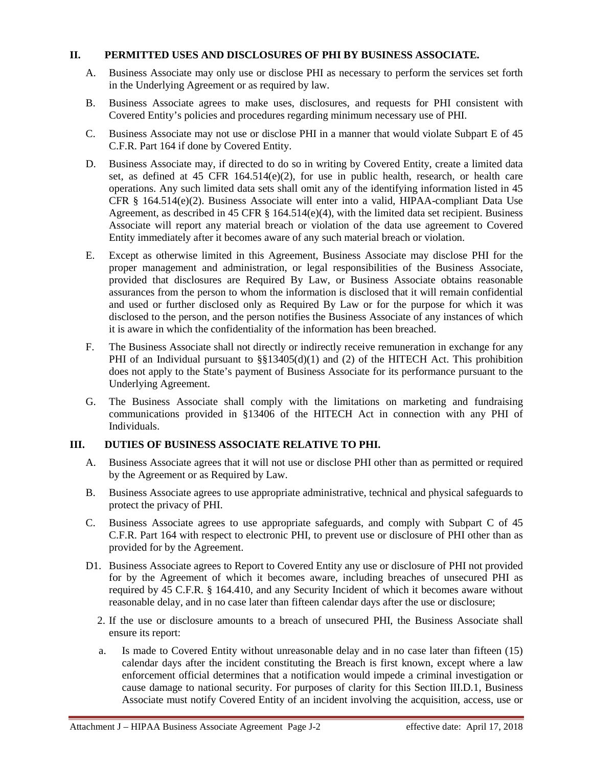#### **II. PERMITTED USES AND DISCLOSURES OF PHI BY BUSINESS ASSOCIATE.**

- A. Business Associate may only use or disclose PHI as necessary to perform the services set forth in the Underlying Agreement or as required by law.
- B. Business Associate agrees to make uses, disclosures, and requests for PHI consistent with Covered Entity's policies and procedures regarding minimum necessary use of PHI.
- C. Business Associate may not use or disclose PHI in a manner that would violate Subpart E of 45 C.F.R. Part 164 if done by Covered Entity.
- D. Business Associate may, if directed to do so in writing by Covered Entity, create a limited data set, as defined at 45 CFR 164.514(e)(2), for use in public health, research, or health care operations. Any such limited data sets shall omit any of the identifying information listed in 45 CFR § 164.514(e)(2). Business Associate will enter into a valid, HIPAA-compliant Data Use Agreement, as described in 45 CFR § 164.514(e)(4), with the limited data set recipient. Business Associate will report any material breach or violation of the data use agreement to Covered Entity immediately after it becomes aware of any such material breach or violation.
- E. Except as otherwise limited in this Agreement, Business Associate may disclose PHI for the proper management and administration, or legal responsibilities of the Business Associate, provided that disclosures are Required By Law, or Business Associate obtains reasonable assurances from the person to whom the information is disclosed that it will remain confidential and used or further disclosed only as Required By Law or for the purpose for which it was disclosed to the person, and the person notifies the Business Associate of any instances of which it is aware in which the confidentiality of the information has been breached.
- F. The Business Associate shall not directly or indirectly receive remuneration in exchange for any PHI of an Individual pursuant to  $\S$ §13405(d)(1) and (2) of the HITECH Act. This prohibition does not apply to the State's payment of Business Associate for its performance pursuant to the Underlying Agreement.
- G. The Business Associate shall comply with the limitations on marketing and fundraising communications provided in §13406 of the HITECH Act in connection with any PHI of Individuals.

## **III. DUTIES OF BUSINESS ASSOCIATE RELATIVE TO PHI.**

- A. Business Associate agrees that it will not use or disclose PHI other than as permitted or required by the Agreement or as Required by Law.
- B. Business Associate agrees to use appropriate administrative, technical and physical safeguards to protect the privacy of PHI.
- C. Business Associate agrees to use appropriate safeguards, and comply with Subpart C of 45 C.F.R. Part 164 with respect to electronic PHI, to prevent use or disclosure of PHI other than as provided for by the Agreement.
- D1. Business Associate agrees to Report to Covered Entity any use or disclosure of PHI not provided for by the Agreement of which it becomes aware, including breaches of unsecured PHI as required by 45 C.F.R. § 164.410, and any Security Incident of which it becomes aware without reasonable delay, and in no case later than fifteen calendar days after the use or disclosure;
	- 2. If the use or disclosure amounts to a breach of unsecured PHI, the Business Associate shall ensure its report:
	- a. Is made to Covered Entity without unreasonable delay and in no case later than fifteen (15) calendar days after the incident constituting the Breach is first known, except where a law enforcement official determines that a notification would impede a criminal investigation or cause damage to national security. For purposes of clarity for this Section III.D.1, Business Associate must notify Covered Entity of an incident involving the acquisition, access, use or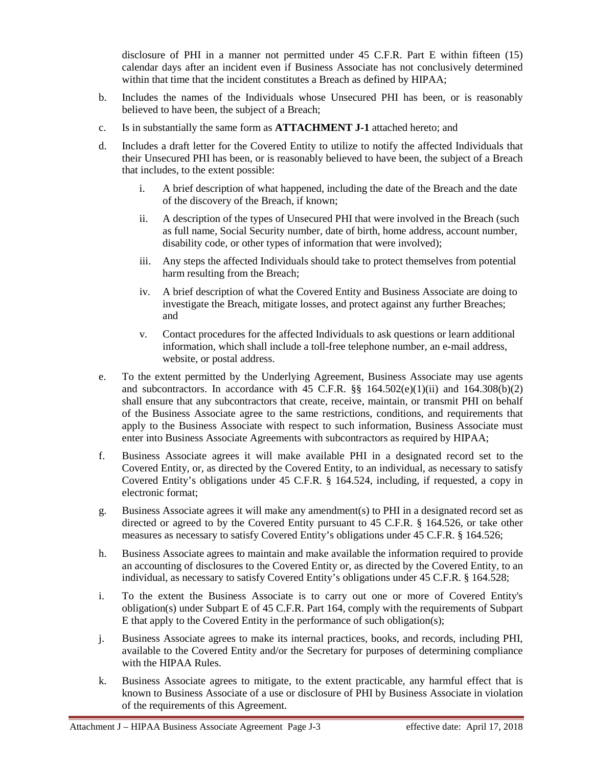disclosure of PHI in a manner not permitted under 45 C.F.R. Part E within fifteen (15) calendar days after an incident even if Business Associate has not conclusively determined within that time that the incident constitutes a Breach as defined by HIPAA;

- b. Includes the names of the Individuals whose Unsecured PHI has been, or is reasonably believed to have been, the subject of a Breach;
- c. Is in substantially the same form as **ATTACHMENT J-1** attached hereto; and
- d. Includes a draft letter for the Covered Entity to utilize to notify the affected Individuals that their Unsecured PHI has been, or is reasonably believed to have been, the subject of a Breach that includes, to the extent possible:
	- i. A brief description of what happened, including the date of the Breach and the date of the discovery of the Breach, if known;
	- ii. A description of the types of Unsecured PHI that were involved in the Breach (such as full name, Social Security number, date of birth, home address, account number, disability code, or other types of information that were involved);
	- iii. Any steps the affected Individuals should take to protect themselves from potential harm resulting from the Breach;
	- iv. A brief description of what the Covered Entity and Business Associate are doing to investigate the Breach, mitigate losses, and protect against any further Breaches; and
	- v. Contact procedures for the affected Individuals to ask questions or learn additional information, which shall include a toll-free telephone number, an e-mail address, website, or postal address.
- e. To the extent permitted by the Underlying Agreement, Business Associate may use agents and subcontractors. In accordance with 45 C.F.R.  $\S$  164.502(e)(1)(ii) and 164.308(b)(2) shall ensure that any subcontractors that create, receive, maintain, or transmit PHI on behalf of the Business Associate agree to the same restrictions, conditions, and requirements that apply to the Business Associate with respect to such information, Business Associate must enter into Business Associate Agreements with subcontractors as required by HIPAA;
- f. Business Associate agrees it will make available PHI in a designated record set to the Covered Entity, or, as directed by the Covered Entity, to an individual, as necessary to satisfy Covered Entity's obligations under 45 C.F.R. § 164.524, including, if requested, a copy in electronic format;
- g. Business Associate agrees it will make any amendment(s) to PHI in a designated record set as directed or agreed to by the Covered Entity pursuant to 45 C.F.R. § 164.526, or take other measures as necessary to satisfy Covered Entity's obligations under 45 C.F.R. § 164.526;
- h. Business Associate agrees to maintain and make available the information required to provide an accounting of disclosures to the Covered Entity or, as directed by the Covered Entity, to an individual, as necessary to satisfy Covered Entity's obligations under 45 C.F.R. § 164.528;
- i. To the extent the Business Associate is to carry out one or more of Covered Entity's obligation(s) under Subpart E of 45 C.F.R. Part 164, comply with the requirements of Subpart E that apply to the Covered Entity in the performance of such obligation(s);
- j. Business Associate agrees to make its internal practices, books, and records, including PHI, available to the Covered Entity and/or the Secretary for purposes of determining compliance with the HIPAA Rules.
- k. Business Associate agrees to mitigate, to the extent practicable, any harmful effect that is known to Business Associate of a use or disclosure of PHI by Business Associate in violation of the requirements of this Agreement.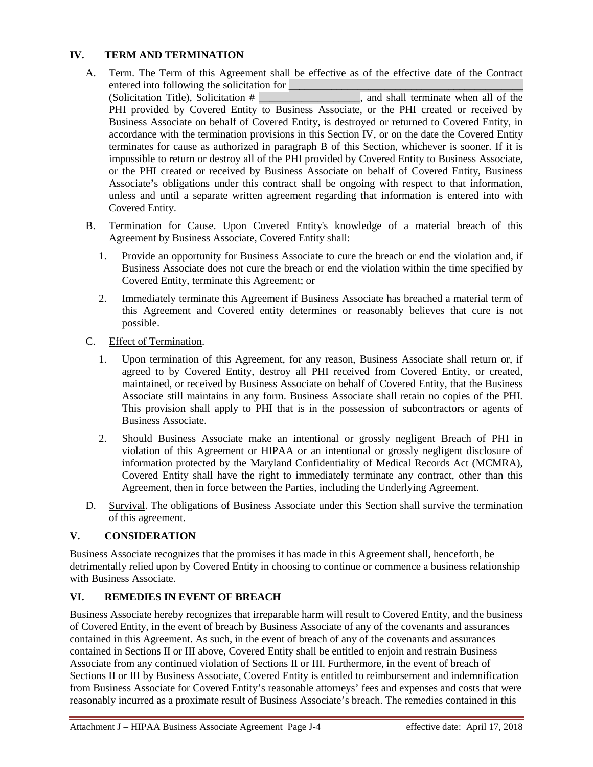## **IV. TERM AND TERMINATION**

- A. Term. The Term of this Agreement shall be effective as of the effective date of the Contract entered into following the solicitation for <br>
(Solicitation Title), Solicitation # , and shall terminate when all of the (Solicitation Title), Solicitation  $\#$ PHI provided by Covered Entity to Business Associate, or the PHI created or received by Business Associate on behalf of Covered Entity, is destroyed or returned to Covered Entity, in accordance with the termination provisions in this Section IV, or on the date the Covered Entity terminates for cause as authorized in paragraph B of this Section, whichever is sooner. If it is impossible to return or destroy all of the PHI provided by Covered Entity to Business Associate, or the PHI created or received by Business Associate on behalf of Covered Entity, Business Associate's obligations under this contract shall be ongoing with respect to that information, unless and until a separate written agreement regarding that information is entered into with Covered Entity.
- B. Termination for Cause. Upon Covered Entity's knowledge of a material breach of this Agreement by Business Associate, Covered Entity shall:
	- 1. Provide an opportunity for Business Associate to cure the breach or end the violation and, if Business Associate does not cure the breach or end the violation within the time specified by Covered Entity, terminate this Agreement; or
	- 2. Immediately terminate this Agreement if Business Associate has breached a material term of this Agreement and Covered entity determines or reasonably believes that cure is not possible.
- C. Effect of Termination.
	- 1. Upon termination of this Agreement, for any reason, Business Associate shall return or, if agreed to by Covered Entity, destroy all PHI received from Covered Entity, or created, maintained, or received by Business Associate on behalf of Covered Entity, that the Business Associate still maintains in any form. Business Associate shall retain no copies of the PHI. This provision shall apply to PHI that is in the possession of subcontractors or agents of Business Associate.
	- 2. Should Business Associate make an intentional or grossly negligent Breach of PHI in violation of this Agreement or HIPAA or an intentional or grossly negligent disclosure of information protected by the Maryland Confidentiality of Medical Records Act (MCMRA), Covered Entity shall have the right to immediately terminate any contract, other than this Agreement, then in force between the Parties, including the Underlying Agreement.
- D. Survival. The obligations of Business Associate under this Section shall survive the termination of this agreement.

## **V. CONSIDERATION**

Business Associate recognizes that the promises it has made in this Agreement shall, henceforth, be detrimentally relied upon by Covered Entity in choosing to continue or commence a business relationship with Business Associate.

## **VI. REMEDIES IN EVENT OF BREACH**

Business Associate hereby recognizes that irreparable harm will result to Covered Entity, and the business of Covered Entity, in the event of breach by Business Associate of any of the covenants and assurances contained in this Agreement. As such, in the event of breach of any of the covenants and assurances contained in Sections II or III above, Covered Entity shall be entitled to enjoin and restrain Business Associate from any continued violation of Sections II or III. Furthermore, in the event of breach of Sections II or III by Business Associate, Covered Entity is entitled to reimbursement and indemnification from Business Associate for Covered Entity's reasonable attorneys' fees and expenses and costs that were reasonably incurred as a proximate result of Business Associate's breach. The remedies contained in this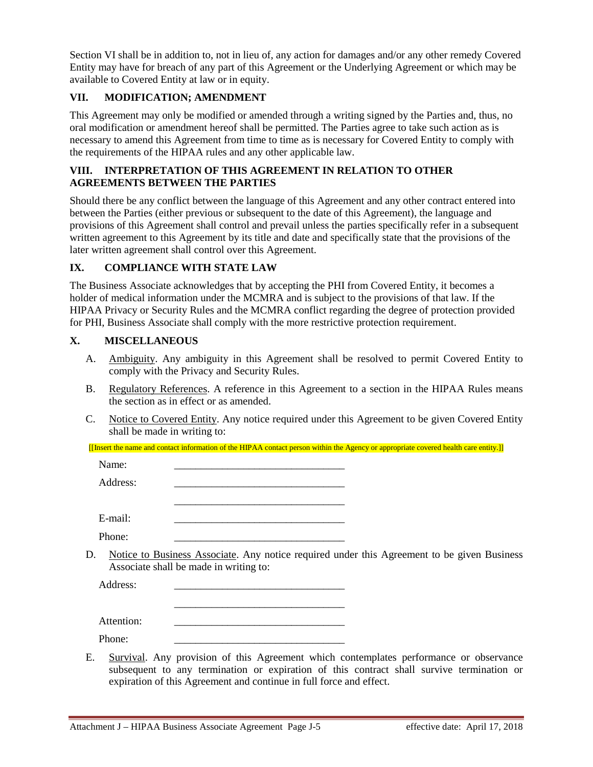Section VI shall be in addition to, not in lieu of, any action for damages and/or any other remedy Covered Entity may have for breach of any part of this Agreement or the Underlying Agreement or which may be available to Covered Entity at law or in equity.

#### **VII. MODIFICATION; AMENDMENT**

This Agreement may only be modified or amended through a writing signed by the Parties and, thus, no oral modification or amendment hereof shall be permitted. The Parties agree to take such action as is necessary to amend this Agreement from time to time as is necessary for Covered Entity to comply with the requirements of the HIPAA rules and any other applicable law.

## **VIII. INTERPRETATION OF THIS AGREEMENT IN RELATION TO OTHER AGREEMENTS BETWEEN THE PARTIES**

Should there be any conflict between the language of this Agreement and any other contract entered into between the Parties (either previous or subsequent to the date of this Agreement), the language and provisions of this Agreement shall control and prevail unless the parties specifically refer in a subsequent written agreement to this Agreement by its title and date and specifically state that the provisions of the later written agreement shall control over this Agreement.

#### **IX. COMPLIANCE WITH STATE LAW**

The Business Associate acknowledges that by accepting the PHI from Covered Entity, it becomes a holder of medical information under the MCMRA and is subject to the provisions of that law. If the HIPAA Privacy or Security Rules and the MCMRA conflict regarding the degree of protection provided for PHI, Business Associate shall comply with the more restrictive protection requirement.

#### **X. MISCELLANEOUS**

- A. Ambiguity. Any ambiguity in this Agreement shall be resolved to permit Covered Entity to comply with the Privacy and Security Rules.
- B. Regulatory References. A reference in this Agreement to a section in the HIPAA Rules means the section as in effect or as amended.
- C. Notice to Covered Entity. Any notice required under this Agreement to be given Covered Entity shall be made in writing to:

[[Insert the name and contact information of the HIPAA contact person within the Agency or appropriate covered health care entity.]]

\_\_\_\_\_\_\_\_\_\_\_\_\_\_\_\_\_\_\_\_\_\_\_\_\_\_\_\_\_\_\_\_

\_\_\_\_\_\_\_\_\_\_\_\_\_\_\_\_\_\_\_\_\_\_\_\_\_\_\_\_\_\_\_\_

Name: \_\_\_\_\_\_\_\_\_\_\_\_\_\_\_\_\_\_\_\_\_\_\_\_\_\_\_\_\_\_\_\_

Address:

 $E$ -mail:

Phone:

D. Notice to Business Associate. Any notice required under this Agreement to be given Business Associate shall be made in writing to:

Address:

Attention:

Phone: \_\_\_\_\_\_\_\_\_\_\_\_\_\_\_\_\_\_\_\_\_\_\_\_\_\_\_\_\_\_\_\_

E. Survival. Any provision of this Agreement which contemplates performance or observance subsequent to any termination or expiration of this contract shall survive termination or expiration of this Agreement and continue in full force and effect.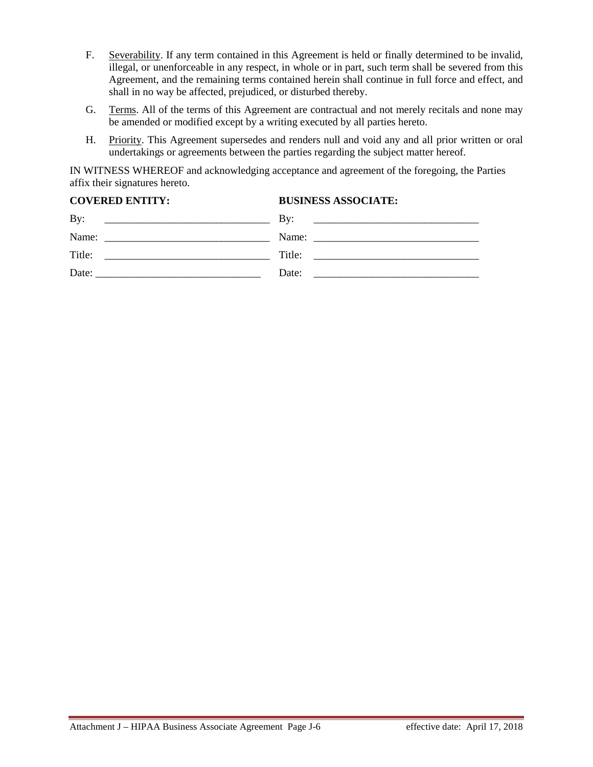- F. Severability. If any term contained in this Agreement is held or finally determined to be invalid, illegal, or unenforceable in any respect, in whole or in part, such term shall be severed from this Agreement, and the remaining terms contained herein shall continue in full force and effect, and shall in no way be affected, prejudiced, or disturbed thereby.
- G. Terms. All of the terms of this Agreement are contractual and not merely recitals and none may be amended or modified except by a writing executed by all parties hereto.
- H. Priority. This Agreement supersedes and renders null and void any and all prior written or oral undertakings or agreements between the parties regarding the subject matter hereof.

IN WITNESS WHEREOF and acknowledging acceptance and agreement of the foregoing, the Parties affix their signatures hereto.

| <b>BUSINESS ASSOCIATE:</b>                                                                                                   |
|------------------------------------------------------------------------------------------------------------------------------|
| By:<br><u> 1989 - Johann Harry Barn, margaret amerikan basal dan berkembang di banyak di banyak di banyak di banyak di b</u> |
|                                                                                                                              |
| Title:<br><u> 1980 - Andrea Andrew Maria (h. 1980).</u>                                                                      |
| Date:                                                                                                                        |
|                                                                                                                              |